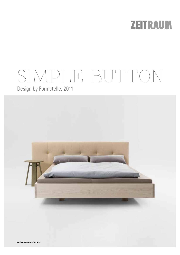

# SIMPLE BUTTON Design by Formstelle, 2011